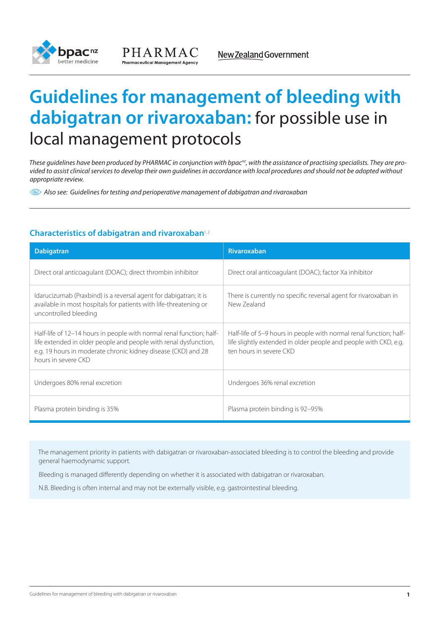



# **Guidelines for management of bleeding with dabigatran or rivaroxaban:** for possible use in local management protocols

These quidelines have been produced by PHARMAC in conjunction with bpac<sup>nz</sup>, with the assistance of practising specialists. They are pro*vided to assist clinical services to develop their own guidelines in accordance with local procedures and should not be adopted without appropriate review.*

*Also see: Guidelines for testing and perioperative management of dabigatran and rivaroxaban*

# **Characteristics of dabigatran and rivaroxaban**1, 2

| <b>Dabigatran</b>                                                                                                                                                                                                                | <b>Rivaroxaban</b>                                                                                                                                                |
|----------------------------------------------------------------------------------------------------------------------------------------------------------------------------------------------------------------------------------|-------------------------------------------------------------------------------------------------------------------------------------------------------------------|
| Direct oral anticoagulant (DOAC); direct thrombin inhibitor                                                                                                                                                                      | Direct oral anticoagulant (DOAC); factor Xa inhibitor                                                                                                             |
| Idarucizumab (Praxbind) is a reversal agent for dabigatran; it is<br>available in most hospitals for patients with life-threatening or<br>uncontrolled bleeding                                                                  | There is currently no specific reversal agent for rivaroxaban in<br>New Zealand                                                                                   |
| Half-life of 12–14 hours in people with normal renal function; half-<br>life extended in older people and people with renal dysfunction,<br>e.g. 19 hours in moderate chronic kidney disease (CKD) and 28<br>hours in severe CKD | Half-life of 5–9 hours in people with normal renal function; half-<br>life slightly extended in older people and people with CKD, e.g.<br>ten hours in severe CKD |
| Undergoes 80% renal excretion                                                                                                                                                                                                    | Undergoes 36% renal excretion                                                                                                                                     |
| Plasma protein binding is 35%                                                                                                                                                                                                    | Plasma protein binding is 92-95%                                                                                                                                  |

The management priority in patients with dabigatran or rivaroxaban-associated bleeding is to control the bleeding and provide general haemodynamic support.

Bleeding is managed differently depending on whether it is associated with dabigatran or rivaroxaban.

N.B. Bleeding is often internal and may not be externally visible, e.g. gastrointestinal bleeding.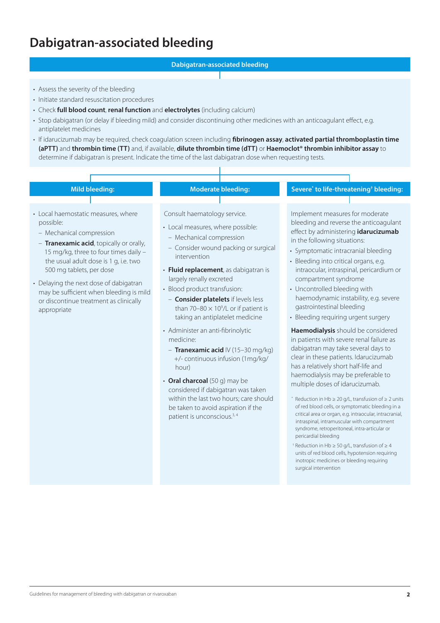# **Dabigatran-associated bleeding**

### **Dabigatran-associated bleeding**

- Assess the severity of the bleeding
- Initiate standard resuscitation procedures
- • Check **full blood count**, **renal function** and **electrolytes** (including calcium)
- Stop dabigatran (or delay if bleeding mild) and consider discontinuing other medicines with an anticoagulant effect, e.g. antiplatelet medicines
- • If idarucizumab may be required, check coagulation screen including **fibrinogen assay**, **activated partial thromboplastin time (aPTT)** and **thrombin time (TT)** and, if available, **dilute thrombin time (dTT)** or **Haemoclot® thrombin inhibitor assay** to determine if dabigatran is present. Indicate the time of the last dabigatran dose when requesting tests.

#### **Mild bleeding: Moderate bleeding: to life-threatening† bleeding:** • Local haemostatic measures, where possible: – Mechanical compression – **Tranexamic acid**, topically or orally, 15 mg/kg, three to four times daily – the usual adult dose is 1 g, i.e. two 500 mg tablets, per dose • Delaying the next dose of dabigatran may be sufficient when bleeding is mild or discontinue treatment as clinically appropriate Consult haematology service. • Local measures, where possible: – Mechanical compression – Consider wound packing or surgical intervention • **Fluid replacement**, as dabigatran is largely renally excreted • Blood product transfusion: – **Consider platelets** if levels less than 70-80  $\times$  10<sup>9</sup>/L or if patient is taking an antiplatelet medicine • Administer an anti-fibrinolytic medicine: Implement measures for moderate bleeding and reverse the anticoagulant effect by administering **idarucizumab** in the following situations: • Symptomatic intracranial bleeding • Bleeding into critical organs, e.g. intraocular, intraspinal, pericardium or compartment syndrome • Uncontrolled bleeding with haemodynamic instability, e.g. severe gastrointestinal bleeding • Bleeding requiring urgent surgery **Haemodialysis** should be considered in patients with severe renal failure as

- **Tranexamic acid** IV (15–30 mg/kg) +/- continuous infusion (1mg/kg/ hour)
- **Oral charcoal** (50 g) may be considered if dabigatran was taken within the last two hours; care should be taken to avoid aspiration if the patient is unconscious.<sup>3, 4</sup>

dabigatran may take several days to clear in these patients. Idarucizumab has a relatively short half-life and haemodialysis may be preferable to multiple doses of idarucizumab.

- \* Reduction in Hb  $\geq 20$  g/L, transfusion of  $\geq 2$  units of red blood cells, or symptomatic bleeding in a critical area or organ, e.g. intraocular, intracranial, intraspinal, intramuscular with compartment syndrome, retroperitoneal, intra-articular or pericardial bleeding
- † Reduction in Hb ≥ 50 g/L, transfusion of ≥ 4 units of red blood cells, hypotension requiring inotropic medicines or bleeding requiring surgical intervention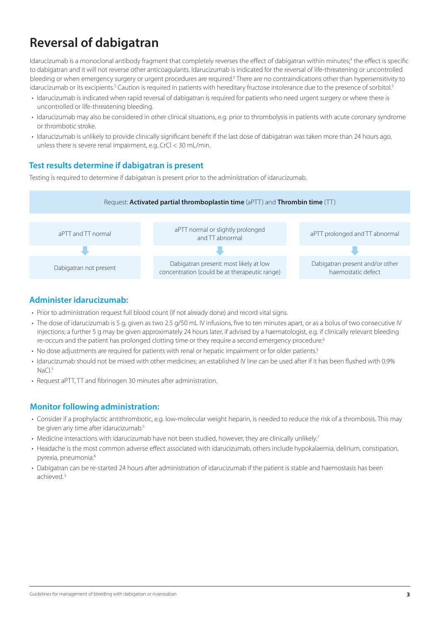# **Reversal of dabigatran**

Idarucizumab is a monoclonal antibody fragment that completely reverses the effect of dabigatran within minutes;<sup>4</sup> the effect is specific to dabigatran and it will not reverse other anticoagulants. Idarucizumab is indicated for the reversal of life-threatening or uncontrolled bleeding or when emergency surgery or urgent procedures are required.<sup>6</sup> There are no contraindications other than hypersensitivity to idarucizumab or its excipients.<sup>5</sup> Caution is required in patients with hereditary fructose intolerance due to the presence of sorbitol.<sup>5</sup>

- • Idarucizumab is indicated when rapid reversal of dabigatran is required for patients who need urgent surgery or where there is uncontrolled or life-threatening bleeding.
- Idarucizumab may also be considered in other clinical situations, e.g. prior to thrombolysis in patients with acute coronary syndrome or thrombotic stroke.
- • Idarucizumab is unlikely to provide clinically significant benefit if the last dose of dabigatran was taken more than 24 hours ago, unless there is severe renal impairment, e.g. CrCl < 30 mL/min.

# **Test results determine if dabigatran is present**

Testing is required to determine if dabigatran is present prior to the administration of idarucizumab.



# **Administer idarucizumab:**

- Prior to administration request full blood count (if not already done) and record vital signs.
- The dose of idarucizumab is 5 g, given as two 2.5 g/50 mL IV infusions, five to ten minutes apart, or as a bolus of two consecutive IV injections; a further 5 g may be given approximately 24 hours later, if advised by a haematologist, e.g. if clinically relevant bleeding re-occurs and the patient has prolonged clotting time or they require a second emergency procedure.<sup>6</sup>
- No dose adjustments are required for patients with renal or hepatic impairment or for older patients.<sup>5</sup>
- Idarucizumab should not be mixed with other medicines; an established IV line can be used after if it has been flushed with 0.9%  $NaCl<sup>5</sup>$
- Request aPTT, TT and fibrinogen 30 minutes after administration.

# **Monitor following administration:**

- • Consider if a prophylactic antithrombotic, e.g. low-molecular weight heparin, is needed to reduce the risk of a thrombosis. This may be given any time after idarucizumab.<sup>5</sup>
- Medicine interactions with idarucizumab have not been studied, however, they are clinically unlikely.<sup>7</sup>
- • Headache is the most common adverse effect associated with idarucizumab, others include hypokalaemia, delirium, constipation, pyrexia, pneumonia.8
- • Dabigatran can be re-started 24 hours after administration of idarucizumab if the patient is stable and haemostasis has been achieved.<sup>5</sup>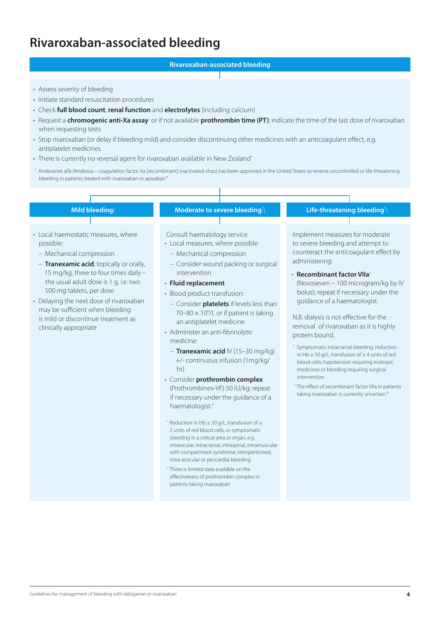# **Rivaroxaban-associated bleeding**

### **Rivaroxaban-associated bleeding**

- Assess severity of bleeding
- Initiate standard resuscitation procedures
- • Check **full blood count**, **renal function** and **electrolytes** (including calcium)
- • Request a **chromogenic anti-Xa assay** or if not available **prothrombin time (PT)**; indicate the time of the last dose of rivaroxaban when requesting tests
- • Stop rivaroxaban (or delay if bleeding mild) and consider discontinuing other medicines with an anticoagulant effect, e.g. antiplatelet medicines
- There is currently no reversal agent for rivaroxaban available in New Zealand<sup>\*</sup>
- \* Andexanet alfa (Andexxa coagulation factor Xa [recombinant] inactivated-zhzo) has been approved in the United States to reverse uncontrolled or life-threatening bleeding in patients treated with rivaroxaban or apixaban.<sup>9</sup>

- Local haemostatic measures, where possible:
	- Mechanical compression
- **Tranexamic acid**, topically or orally, 15 mg/kg, three to four times daily – the usual adult dose is 1 g, i.e. two 500 mg tablets, per dose
- Delaying the next dose of rivaroxaban may be sufficient when bleeding is mild or discontinue treatment as clinically appropriate

### **Mild bleeding: Moderate to severe bleeding**\*:

Consult haematology service

- Local measures, where possible:
- Mechanical compression
- Consider wound packing or surgical intervention

#### • **Fluid replacement**

- Blood product transfusion: – Consider **platelets** if levels less than 70-80  $\times$  10<sup>9</sup>/L or if patient is taking an antiplatelet medicine
- Administer an anti-fibrinolytic medicine:
	- **Tranexamic acid** IV (15–30 mg/kg) +/- continuous infusion (1mg/kg/ hr)
- • Consider **prothrombin complex** (Prothrombinex-VF) 50 IU/kg; repeat if necessary under the guidance of a haematologist.†
- \* Reduction in Hb ≥ 20 g/L, transfusion of ≥ 2 units of red blood cells, or symptomatic bleeding in a critical area or organ, e.g. intraocular, intracranial, intraspinal, intramuscular with compartment syndrome, retroperitoneal, intra-articular or pericardial bleeding
- † There is limited data available on the effectiveness of prothrombin complex in patients taking rivaroxaban

#### **: Life-threatening bleeding\* :**

Implement measures for moderate to severe bleeding and attempt to counteract the anticoagulant effect by administering:

• **Recombinant factor VIIa**† (Novoseven – 100 microgram/kg by IV bolus); repeat if necessary under the

guidance of a haematologist

N.B. dialysis is not effective for the removal of rivaroxaban as it is highly protein bound.

- \* Symptomatic intracranial bleeding, reduction in Hb ≥ 50 g/L, transfusion of ≥ 4 units of red blood cells, hypotension requiring inotropic medicines or bleeding requiring surgical intervention
- † The effect of recombinant factor VIIa in patients taking rivaroxaban is currently uncertain<sup>10</sup>